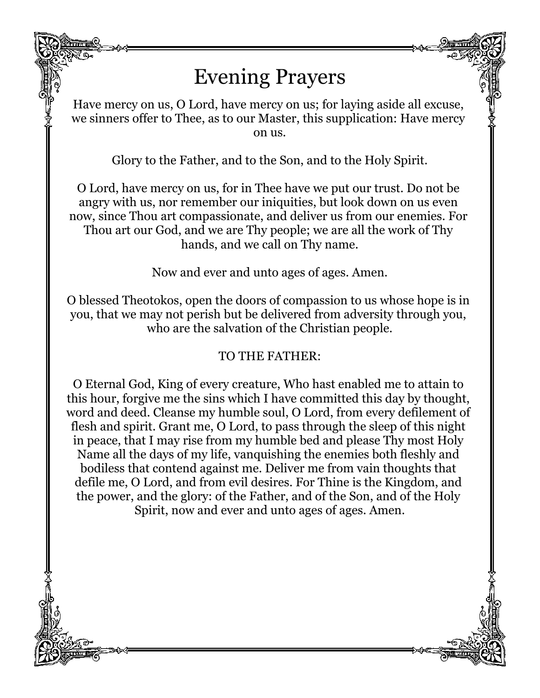## Evening Prayers

Have mercy on us, O Lord, have mercy on us; for laying aside all excuse, we sinners offer to Thee, as to our Master, this supplication: Have mercy on us.

Glory to the Father, and to the Son, and to the Holy Spirit.

O Lord, have mercy on us, for in Thee have we put our trust. Do not be angry with us, nor remember our iniquities, but look down on us even now, since Thou art compassionate, and deliver us from our enemies. For Thou art our God, and we are Thy people; we are all the work of Thy hands, and we call on Thy name.

Now and ever and unto ages of ages. Amen.

O blessed Theotokos, open the doors of compassion to us whose hope is in you, that we may not perish but be delivered from adversity through you, who are the salvation of the Christian people.

## TO THE FATHER:

O Eternal God, King of every creature, Who hast enabled me to attain to this hour, forgive me the sins which I have committed this day by thought, word and deed. Cleanse my humble soul, O Lord, from every defilement of flesh and spirit. Grant me, O Lord, to pass through the sleep of this night in peace, that I may rise from my humble bed and please Thy most Holy Name all the days of my life, vanquishing the enemies both fleshly and bodiless that contend against me. Deliver me from vain thoughts that defile me, O Lord, and from evil desires. For Thine is the Kingdom, and the power, and the glory: of the Father, and of the Son, and of the Holy Spirit, now and ever and unto ages of ages. Amen.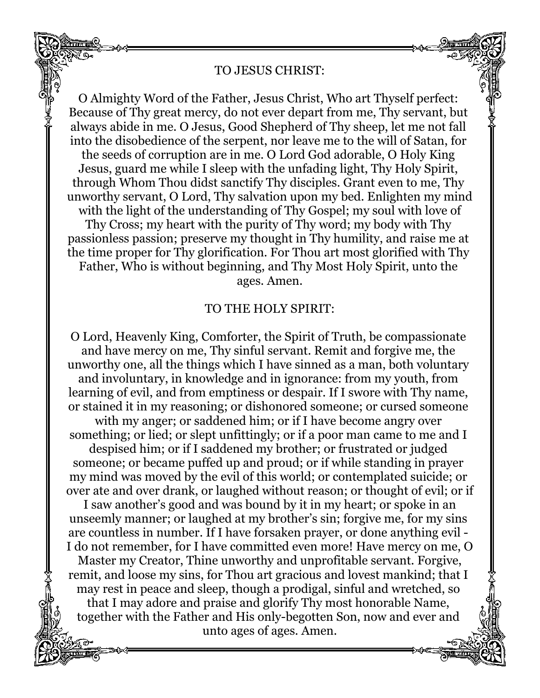## TO JESUS CHRIST:

O Almighty Word of the Father, Jesus Christ, Who art Thyself perfect: Because of Thy great mercy, do not ever depart from me, Thy servant, but always abide in me. O Jesus, Good Shepherd of Thy sheep, let me not fall into the disobedience of the serpent, nor leave me to the will of Satan, for the seeds of corruption are in me. O Lord God adorable, O Holy King Jesus, guard me while I sleep with the unfading light, Thy Holy Spirit, through Whom Thou didst sanctify Thy disciples. Grant even to me, Thy unworthy servant, O Lord, Thy salvation upon my bed. Enlighten my mind with the light of the understanding of Thy Gospel; my soul with love of Thy Cross; my heart with the purity of Thy word; my body with Thy passionless passion; preserve my thought in Thy humility, and raise me at the time proper for Thy glorification. For Thou art most glorified with Thy Father, Who is without beginning, and Thy Most Holy Spirit, unto the ages. Amen.

## TO THE HOLY SPIRIT:

O Lord, Heavenly King, Comforter, the Spirit of Truth, be compassionate and have mercy on me, Thy sinful servant. Remit and forgive me, the unworthy one, all the things which I have sinned as a man, both voluntary and involuntary, in knowledge and in ignorance: from my youth, from learning of evil, and from emptiness or despair. If I swore with Thy name, or stained it in my reasoning; or dishonored someone; or cursed someone with my anger; or saddened him; or if I have become angry over something; or lied; or slept unfittingly; or if a poor man came to me and I despised him; or if I saddened my brother; or frustrated or judged someone; or became puffed up and proud; or if while standing in prayer my mind was moved by the evil of this world; or contemplated suicide; or over ate and over drank, or laughed without reason; or thought of evil; or if I saw another's good and was bound by it in my heart; or spoke in an unseemly manner; or laughed at my brother's sin; forgive me, for my sins are countless in number. If I have forsaken prayer, or done anything evil - I do not remember, for I have committed even more! Have mercy on me, O Master my Creator, Thine unworthy and unprofitable servant. Forgive, remit, and loose my sins, for Thou art gracious and lovest mankind; that I may rest in peace and sleep, though a prodigal, sinful and wretched, so that I may adore and praise and glorify Thy most honorable Name, together with the Father and His only-begotten Son, now and ever and unto ages of ages. Amen.